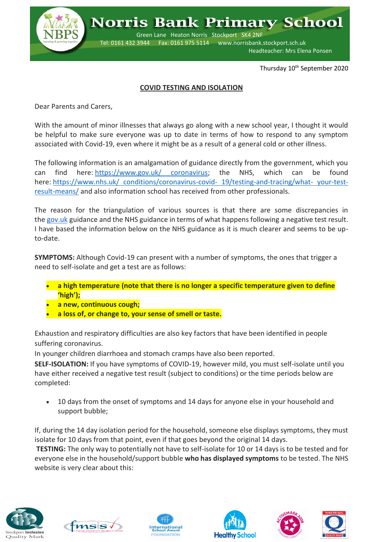

**Norris Bank Primary School** 

 Green Lane Heaton Norris Stockport SK4 2NF Tel: 0161 432 3944 Fax: 0161 975 5114 www.norrisbank.stockport.sch.uk Headteacher: Mrs Elena Ponsen

Thursday 10<sup>th</sup> September 2020

## **COVID TESTING AND ISOLATION**

Dear Parents and Carers,

With the amount of minor illnesses that always go along with a new school year, I thought it would be helpful to make sure everyone was up to date in terms of how to respond to any symptom associated with Covid-19, even where it might be as a result of a general cold or other illness.

The following information is an amalgamation of guidance directly from the government, which you can find here: [https://www.gov.uk/ coronavirus;](https://www.gov.uk/coronavirus) the NHS, which can be found here: [https://www.nhs.uk/ conditions/coronavirus-covid-](https://www.nhs.uk/conditions/coronavirus-covid-19/testing-and-tracing/what-your-test-result-means/) 19/testing-and-tracing/what- your-test[result-means/](https://www.nhs.uk/conditions/coronavirus-covid-19/testing-and-tracing/what-your-test-result-means/) and also information school has received from other professionals.

The reason for the triangulation of various sources is that there are some discrepancies in the [gov.uk](http://gov.uk/) guidance and the NHS guidance in terms of what happens following a negative test result. I have based the information below on the NHS guidance as it is much clearer and seems to be upto-date.

**SYMPTOMS:** Although Covid-19 can present with a number of symptoms, the ones that trigger a need to self-isolate and get a test are as follows:

- **a high temperature (note that there is no longer a specific temperature given to define 'high');**
- **a new, continuous cough;**
- **a loss of, or change to, your sense of smell or taste.**

Exhaustion and respiratory difficulties are also key factors that have been identified in people suffering coronavirus.

In younger children diarrhoea and stomach cramps have also been reported.

**SELF-ISOLATION:** If you have symptoms of COVID-19, however mild, you must self-isolate until you have either received a negative test result (subject to conditions) or the time periods below are completed:

 10 days from the onset of symptoms and 14 days for anyone else in your household and support bubble;

If, during the 14 day isolation period for the household, someone else displays symptoms, they must isolate for 10 days from that point, even if that goes beyond the original 14 days. **TESTING:** The only way to potentially not have to self-isolate for 10 or 14 days is to be tested and for everyone else in the household/support bubble **who has displayed symptoms** to be tested. The NHS

website is very clear about this: